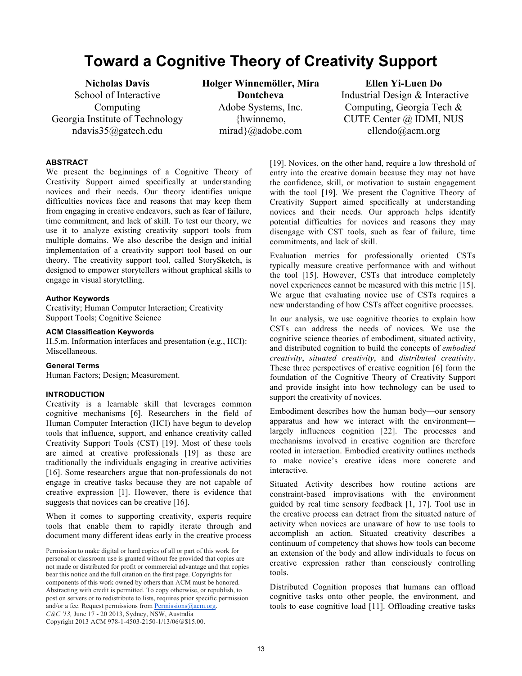# **Toward a Cognitive Theory of Creativity Support**

**Nicholas Davis**  School of Interactive Computing Georgia Institute of Technology ndavis35@gatech.edu

**Holger Winnemöller, Mira Dontcheva**  Adobe Systems, Inc. {hwinnemo, mirad}@adobe.com

**Ellen Yi-Luen Do**  Industrial Design & Interactive Computing, Georgia Tech & CUTE Center @ IDMI, NUS ellendo@acm.org

#### **ABSTRACT**

We present the beginnings of a Cognitive Theory of Creativity Support aimed specifically at understanding novices and their needs. Our theory identifies unique difficulties novices face and reasons that may keep them from engaging in creative endeavors, such as fear of failure, time commitment, and lack of skill. To test our theory, we use it to analyze existing creativity support tools from multiple domains. We also describe the design and initial implementation of a creativity support tool based on our theory. The creativity support tool, called StorySketch, is designed to empower storytellers without graphical skills to engage in visual storytelling.

#### **Author Keywords**

Creativity; Human Computer Interaction; Creativity Support Tools; Cognitive Science

#### **ACM Classification Keywords**

H.5.m. Information interfaces and presentation (e.g., HCI): Miscellaneous.

#### **General Terms**

Human Factors; Design; Measurement.

#### **INTRODUCTION**

Creativity is a learnable skill that leverages common cognitive mechanisms [6]. Researchers in the field of Human Computer Interaction (HCI) have begun to develop tools that influence, support, and enhance creativity called Creativity Support Tools (CST) [19]. Most of these tools are aimed at creative professionals [19] as these are traditionally the individuals engaging in creative activities [16]. Some researchers argue that non-professionals do not engage in creative tasks because they are not capable of creative expression [1]. However, there is evidence that suggests that novices can be creative [16].

When it comes to supporting creativity, experts require tools that enable them to rapidly iterate through and document many different ideas early in the creative process

[19]. Novices, on the other hand, require a low threshold of entry into the creative domain because they may not have the confidence, skill, or motivation to sustain engagement with the tool [19]. We present the Cognitive Theory of Creativity Support aimed specifically at understanding novices and their needs. Our approach helps identify potential difficulties for novices and reasons they may disengage with CST tools, such as fear of failure, time commitments, and lack of skill.

Evaluation metrics for professionally oriented CSTs typically measure creative performance with and without the tool [15]. However, CSTs that introduce completely novel experiences cannot be measured with this metric [15]. We argue that evaluating novice use of CSTs requires a new understanding of how CSTs affect cognitive processes.

In our analysis, we use cognitive theories to explain how CSTs can address the needs of novices. We use the cognitive science theories of embodiment, situated activity, and distributed cognition to build the concepts of *embodied creativity*, *situated creativity*, and *distributed creativity*. These three perspectives of creative cognition [6] form the foundation of the Cognitive Theory of Creativity Support and provide insight into how technology can be used to support the creativity of novices.

Embodiment describes how the human body—our sensory apparatus and how we interact with the environment largely influences cognition [22]. The processes and mechanisms involved in creative cognition are therefore rooted in interaction. Embodied creativity outlines methods to make novice's creative ideas more concrete and interactive.

Situated Activity describes how routine actions are constraint-based improvisations with the environment guided by real time sensory feedback [1, 17]. Tool use in the creative process can detract from the situated nature of activity when novices are unaware of how to use tools to accomplish an action. Situated creativity describes a continuum of competency that shows how tools can become an extension of the body and allow individuals to focus on creative expression rather than consciously controlling tools.

Distributed Cognition proposes that humans can offload cognitive tasks onto other people, the environment, and tools to ease cognitive load [11]. Offloading creative tasks

Permission to make digital or hard copies of all or part of this work for personal or classroom use is granted without fee provided that copies are not made or distributed for profit or commercial advantage and that copies bear this notice and the full citation on the first page. Copyrights for components of this work owned by others than ACM must be honored. Abstracting with credit is permitted. To copy otherwise, or republish, to post on servers or to redistribute to lists, requires prior specific permission and/or a fee. Request permissions from Permissions@acm.org. *C&C '13,* June 17 - 20 2013, Sydney, NSW, Australia Copyright 2013 ACM 978-1-4503-2150-1/13/06\$15.00.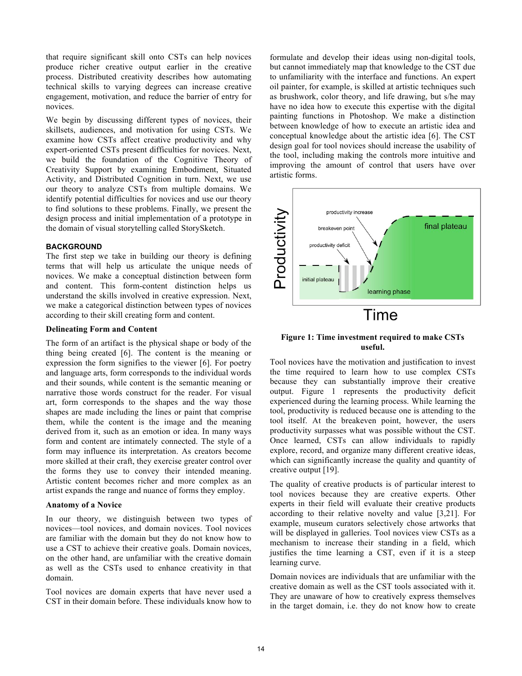that require significant skill onto CSTs can help novices produce richer creative output earlier in the creative process. Distributed creativity describes how automating technical skills to varying degrees can increase creative engagement, motivation, and reduce the barrier of entry for novices.

We begin by discussing different types of novices, their skillsets, audiences, and motivation for using CSTs. We examine how CSTs affect creative productivity and why expert-oriented CSTs present difficulties for novices. Next, we build the foundation of the Cognitive Theory of Creativity Support by examining Embodiment, Situated Activity, and Distributed Cognition in turn. Next, we use our theory to analyze CSTs from multiple domains. We identify potential difficulties for novices and use our theory to find solutions to these problems. Finally, we present the design process and initial implementation of a prototype in the domain of visual storytelling called StorySketch.

#### **BACKGROUND**

The first step we take in building our theory is defining terms that will help us articulate the unique needs of novices. We make a conceptual distinction between form and content. This form-content distinction helps us understand the skills involved in creative expression. Next, we make a categorical distinction between types of novices according to their skill creating form and content.

#### **Delineating Form and Content**

The form of an artifact is the physical shape or body of the thing being created [6]. The content is the meaning or expression the form signifies to the viewer [6]. For poetry and language arts, form corresponds to the individual words and their sounds, while content is the semantic meaning or narrative those words construct for the reader. For visual art, form corresponds to the shapes and the way those shapes are made including the lines or paint that comprise them, while the content is the image and the meaning derived from it, such as an emotion or idea. In many ways form and content are intimately connected. The style of a form may influence its interpretation. As creators become more skilled at their craft, they exercise greater control over the forms they use to convey their intended meaning. Artistic content becomes richer and more complex as an artist expands the range and nuance of forms they employ.

#### **Anatomy of a Novice**

In our theory, we distinguish between two types of novices—tool novices, and domain novices. Tool novices are familiar with the domain but they do not know how to use a CST to achieve their creative goals. Domain novices, on the other hand, are unfamiliar with the creative domain as well as the CSTs used to enhance creativity in that domain.

Tool novices are domain experts that have never used a CST in their domain before. These individuals know how to formulate and develop their ideas using non-digital tools, but cannot immediately map that knowledge to the CST due to unfamiliarity with the interface and functions. An expert oil painter, for example, is skilled at artistic techniques such as brushwork, color theory, and life drawing, but s/he may have no idea how to execute this expertise with the digital painting functions in Photoshop. We make a distinction between knowledge of how to execute an artistic idea and conceptual knowledge about the artistic idea [6]. The CST design goal for tool novices should increase the usability of the tool, including making the controls more intuitive and improving the amount of control that users have over artistic forms.



# **Figure 1: Time investment required to make CSTs useful.**

Tool novices have the motivation and justification to invest the time required to learn how to use complex CSTs because they can substantially improve their creative output. Figure 1 represents the productivity deficit experienced during the learning process. While learning the tool, productivity is reduced because one is attending to the tool itself. At the breakeven point, however, the users productivity surpasses what was possible without the CST. Once learned, CSTs can allow individuals to rapidly explore, record, and organize many different creative ideas, which can significantly increase the quality and quantity of creative output [19].

The quality of creative products is of particular interest to tool novices because they are creative experts. Other experts in their field will evaluate their creative products according to their relative novelty and value [3,21]. For example, museum curators selectively chose artworks that will be displayed in galleries. Tool novices view CSTs as a mechanism to increase their standing in a field, which justifies the time learning a CST, even if it is a steep learning curve.

Domain novices are individuals that are unfamiliar with the creative domain as well as the CST tools associated with it. They are unaware of how to creatively express themselves in the target domain, i.e. they do not know how to create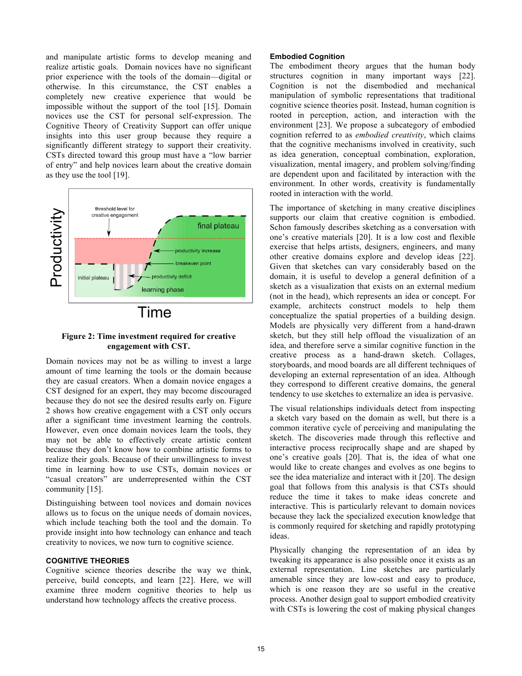and manipulate artistic forms to develop meaning and realize artistic goals. Domain novices have no significant prior experience with the tools of the domain—digital or otherwise. In this circumstance, the CST enables a completely new creative experience that would be impossible without the support of the tool [15]. Domain novices use the CST for personal self-expression. The Cognitive Theory of Creativity Support can offer unique insights into this user group because they require a significantly different strategy to support their creativity. CSTs directed toward this group must have a "low barrier of entry" and help novices learn about the creative domain as they use the tool [19].



# **Figure 2: Time investment required for creative engagement with CST.**

Domain novices may not be as willing to invest a large amount of time learning the tools or the domain because they are casual creators. When a domain novice engages a CST designed for an expert, they may become discouraged because they do not see the desired results early on. Figure 2 shows how creative engagement with a CST only occurs after a significant time investment learning the controls. However, even once domain novices learn the tools, they may not be able to effectively create artistic content because they don't know how to combine artistic forms to realize their goals. Because of their unwillingness to invest time in learning how to use CSTs, domain novices or "casual creators" are underrepresented within the CST community [15].

Distinguishing between tool novices and domain novices allows us to focus on the unique needs of domain novices, which include teaching both the tool and the domain. To provide insight into how technology can enhance and teach creativity to novices, we now turn to cognitive science.

## **COGNITIVE THEORIES**

Cognitive science theories describe the way we think, perceive, build concepts, and learn [22]. Here, we will examine three modern cognitive theories to help us understand how technology affects the creative process.

#### **Embodied Cognition**

The embodiment theory argues that the human body structures cognition in many important ways [22]. Cognition is not the disembodied and mechanical manipulation of symbolic representations that traditional cognitive science theories posit. Instead, human cognition is rooted in perception, action, and interaction with the environment [23]. We propose a subcategory of embodied cognition referred to as *embodied creativity*, which claims that the cognitive mechanisms involved in creativity, such as idea generation, conceptual combination, exploration, visualization, mental imagery, and problem solving/finding are dependent upon and facilitated by interaction with the environment. In other words, creativity is fundamentally rooted in interaction with the world.

The importance of sketching in many creative disciplines supports our claim that creative cognition is embodied. Schon famously describes sketching as a conversation with one's creative materials [20]. It is a low cost and flexible exercise that helps artists, designers, engineers, and many other creative domains explore and develop ideas [22]. Given that sketches can vary considerably based on the domain, it is useful to develop a general definition of a sketch as a visualization that exists on an external medium (not in the head), which represents an idea or concept. For example, architects construct models to help them conceptualize the spatial properties of a building design. Models are physically very different from a hand-drawn sketch, but they still help offload the visualization of an idea, and therefore serve a similar cognitive function in the creative process as a hand-drawn sketch. Collages, storyboards, and mood boards are all different techniques of developing an external representation of an idea. Although they correspond to different creative domains, the general tendency to use sketches to externalize an idea is pervasive.

The visual relationships individuals detect from inspecting a sketch vary based on the domain as well, but there is a common iterative cycle of perceiving and manipulating the sketch. The discoveries made through this reflective and interactive process reciprocally shape and are shaped by one's creative goals [20]. That is, the idea of what one would like to create changes and evolves as one begins to see the idea materialize and interact with it [20]. The design goal that follows from this analysis is that CSTs should reduce the time it takes to make ideas concrete and interactive. This is particularly relevant to domain novices because they lack the specialized execution knowledge that is commonly required for sketching and rapidly prototyping ideas.

Physically changing the representation of an idea by tweaking its appearance is also possible once it exists as an external representation. Line sketches are particularly amenable since they are low-cost and easy to produce, which is one reason they are so useful in the creative process. Another design goal to support embodied creativity with CSTs is lowering the cost of making physical changes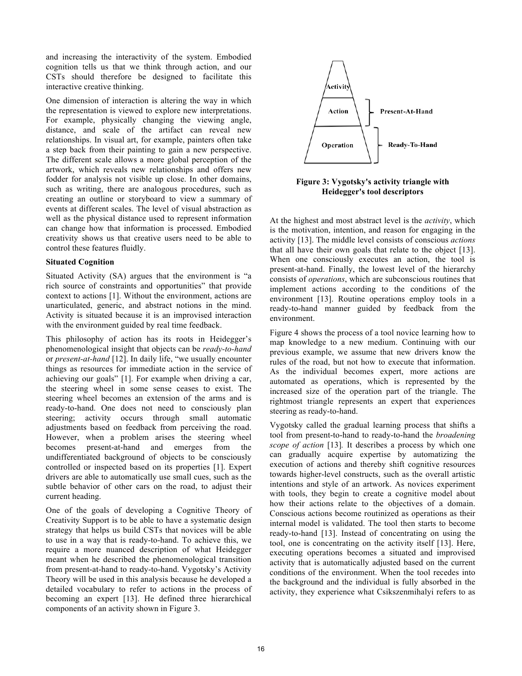and increasing the interactivity of the system. Embodied cognition tells us that we think through action, and our CSTs should therefore be designed to facilitate this interactive creative thinking.

One dimension of interaction is altering the way in which the representation is viewed to explore new interpretations. For example, physically changing the viewing angle, distance, and scale of the artifact can reveal new relationships. In visual art, for example, painters often take a step back from their painting to gain a new perspective. The different scale allows a more global perception of the artwork, which reveals new relationships and offers new fodder for analysis not visible up close. In other domains, such as writing, there are analogous procedures, such as creating an outline or storyboard to view a summary of events at different scales. The level of visual abstraction as well as the physical distance used to represent information can change how that information is processed. Embodied creativity shows us that creative users need to be able to control these features fluidly.

# **Situated Cognition**

Situated Activity (SA) argues that the environment is "a rich source of constraints and opportunities" that provide context to actions [1]. Without the environment, actions are unarticulated, generic, and abstract notions in the mind. Activity is situated because it is an improvised interaction with the environment guided by real time feedback.

This philosophy of action has its roots in Heidegger's phenomenological insight that objects can be *ready-to-hand* or *present-at-hand* [12]. In daily life, "we usually encounter things as resources for immediate action in the service of achieving our goals" [1]. For example when driving a car, the steering wheel in some sense ceases to exist. The steering wheel becomes an extension of the arms and is ready-to-hand. One does not need to consciously plan steering; activity occurs through small automatic adjustments based on feedback from perceiving the road. However, when a problem arises the steering wheel becomes present-at-hand and emerges from the undifferentiated background of objects to be consciously controlled or inspected based on its properties [1]. Expert drivers are able to automatically use small cues, such as the subtle behavior of other cars on the road, to adjust their current heading.

One of the goals of developing a Cognitive Theory of Creativity Support is to be able to have a systematic design strategy that helps us build CSTs that novices will be able to use in a way that is ready-to-hand. To achieve this, we require a more nuanced description of what Heidegger meant when he described the phenomenological transition from present-at-hand to ready-to-hand. Vygotsky's Activity Theory will be used in this analysis because he developed a detailed vocabulary to refer to actions in the process of becoming an expert [13]. He defined three hierarchical components of an activity shown in Figure 3.



**Figure 3: Vygotsky's activity triangle with Heidegger's tool descriptors**

At the highest and most abstract level is the *activity*, which is the motivation, intention, and reason for engaging in the activity [13]. The middle level consists of conscious *actions* that all have their own goals that relate to the object [13]. When one consciously executes an action, the tool is present-at-hand. Finally, the lowest level of the hierarchy consists of *operations*, which are subconscious routines that implement actions according to the conditions of the environment [13]. Routine operations employ tools in a ready-to-hand manner guided by feedback from the environment.

Figure 4 shows the process of a tool novice learning how to map knowledge to a new medium. Continuing with our previous example, we assume that new drivers know the rules of the road, but not how to execute that information. As the individual becomes expert, more actions are automated as operations, which is represented by the increased size of the operation part of the triangle. The rightmost triangle represents an expert that experiences steering as ready-to-hand.

Vygotsky called the gradual learning process that shifts a tool from present-to-hand to ready-to-hand the *broadening scope of action* [13]*.* It describes a process by which one can gradually acquire expertise by automatizing the execution of actions and thereby shift cognitive resources towards higher-level constructs, such as the overall artistic intentions and style of an artwork. As novices experiment with tools, they begin to create a cognitive model about how their actions relate to the objectives of a domain. Conscious actions become routinized as operations as their internal model is validated. The tool then starts to become ready-to-hand [13]. Instead of concentrating on using the tool, one is concentrating on the activity itself [13]. Here, executing operations becomes a situated and improvised activity that is automatically adjusted based on the current conditions of the environment. When the tool recedes into the background and the individual is fully absorbed in the activity, they experience what Csikszenmihalyi refers to as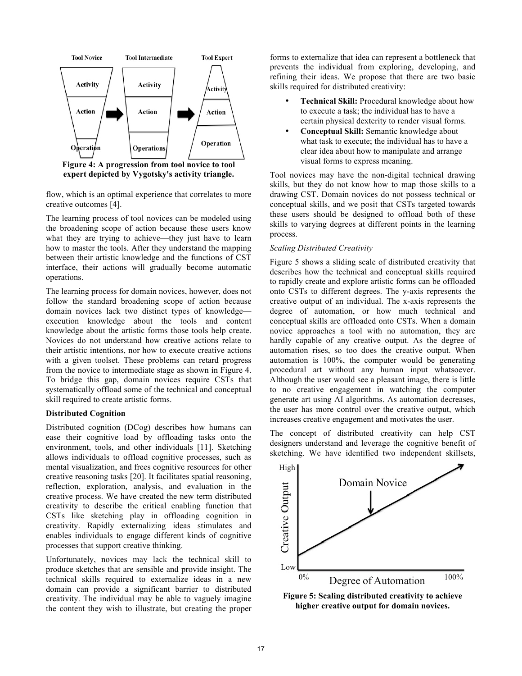

**expert depicted by Vygotsky's activity triangle.**

flow, which is an optimal experience that correlates to more creative outcomes [4].

The learning process of tool novices can be modeled using the broadening scope of action because these users know what they are trying to achieve—they just have to learn how to master the tools. After they understand the mapping between their artistic knowledge and the functions of CST interface, their actions will gradually become automatic operations.

The learning process for domain novices, however, does not follow the standard broadening scope of action because domain novices lack two distinct types of knowledge execution knowledge about the tools and content knowledge about the artistic forms those tools help create. Novices do not understand how creative actions relate to their artistic intentions, nor how to execute creative actions with a given toolset. These problems can retard progress from the novice to intermediate stage as shown in Figure 4. To bridge this gap, domain novices require CSTs that systematically offload some of the technical and conceptual skill required to create artistic forms.

# **Distributed Cognition**

Distributed cognition (DCog) describes how humans can ease their cognitive load by offloading tasks onto the environment, tools, and other individuals [11]. Sketching allows individuals to offload cognitive processes, such as mental visualization, and frees cognitive resources for other creative reasoning tasks [20]. It facilitates spatial reasoning, reflection, exploration, analysis, and evaluation in the creative process. We have created the new term distributed creativity to describe the critical enabling function that CSTs like sketching play in offloading cognition in creativity. Rapidly externalizing ideas stimulates and enables individuals to engage different kinds of cognitive processes that support creative thinking.

Unfortunately, novices may lack the technical skill to produce sketches that are sensible and provide insight. The technical skills required to externalize ideas in a new domain can provide a significant barrier to distributed creativity. The individual may be able to vaguely imagine the content they wish to illustrate, but creating the proper

forms to externalize that idea can represent a bottleneck that prevents the individual from exploring, developing, and refining their ideas. We propose that there are two basic skills required for distributed creativity:

- **Technical Skill:** Procedural knowledge about how to execute a task; the individual has to have a certain physical dexterity to render visual forms.
- **Conceptual Skill:** Semantic knowledge about what task to execute; the individual has to have a clear idea about how to manipulate and arrange visual forms to express meaning.

Tool novices may have the non-digital technical drawing skills, but they do not know how to map those skills to a drawing CST. Domain novices do not possess technical or conceptual skills, and we posit that CSTs targeted towards these users should be designed to offload both of these skills to varying degrees at different points in the learning process.

# *Scaling Distributed Creativity*

Figure 5 shows a sliding scale of distributed creativity that describes how the technical and conceptual skills required to rapidly create and explore artistic forms can be offloaded onto CSTs to different degrees. The y-axis represents the creative output of an individual. The x-axis represents the degree of automation, or how much technical and conceptual skills are offloaded onto CSTs. When a domain novice approaches a tool with no automation, they are hardly capable of any creative output. As the degree of automation rises, so too does the creative output. When automation is 100%, the computer would be generating procedural art without any human input whatsoever. Although the user would see a pleasant image, there is little to no creative engagement in watching the computer generate art using AI algorithms. As automation decreases, the user has more control over the creative output, which increases creative engagement and motivates the user.

The concept of distributed creativity can help CST designers understand and leverage the cognitive benefit of sketching. We have identified two independent skillsets,



**Figure 5: Scaling distributed creativity to achieve higher creative output for domain novices.**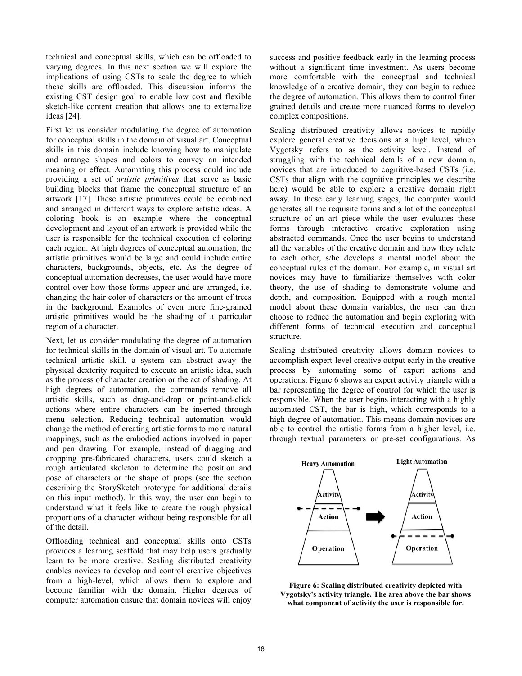technical and conceptual skills, which can be offloaded to varying degrees. In this next section we will explore the implications of using CSTs to scale the degree to which these skills are offloaded. This discussion informs the existing CST design goal to enable low cost and flexible sketch-like content creation that allows one to externalize ideas [24].

First let us consider modulating the degree of automation for conceptual skills in the domain of visual art. Conceptual skills in this domain include knowing how to manipulate and arrange shapes and colors to convey an intended meaning or effect. Automating this process could include providing a set of *artistic primitives* that serve as basic building blocks that frame the conceptual structure of an artwork [17]. These artistic primitives could be combined and arranged in different ways to explore artistic ideas. A coloring book is an example where the conceptual development and layout of an artwork is provided while the user is responsible for the technical execution of coloring each region. At high degrees of conceptual automation, the artistic primitives would be large and could include entire characters, backgrounds, objects, etc. As the degree of conceptual automation decreases, the user would have more control over how those forms appear and are arranged, i.e. changing the hair color of characters or the amount of trees in the background. Examples of even more fine-grained artistic primitives would be the shading of a particular region of a character.

Next, let us consider modulating the degree of automation for technical skills in the domain of visual art. To automate technical artistic skill, a system can abstract away the physical dexterity required to execute an artistic idea, such as the process of character creation or the act of shading. At high degrees of automation, the commands remove all artistic skills, such as drag-and-drop or point-and-click actions where entire characters can be inserted through menu selection. Reducing technical automation would change the method of creating artistic forms to more natural mappings, such as the embodied actions involved in paper and pen drawing. For example, instead of dragging and dropping pre-fabricated characters, users could sketch a rough articulated skeleton to determine the position and pose of characters or the shape of props (see the section describing the StorySketch prototype for additional details on this input method). In this way, the user can begin to understand what it feels like to create the rough physical proportions of a character without being responsible for all of the detail.

Offloading technical and conceptual skills onto CSTs provides a learning scaffold that may help users gradually learn to be more creative. Scaling distributed creativity enables novices to develop and control creative objectives from a high-level, which allows them to explore and become familiar with the domain. Higher degrees of computer automation ensure that domain novices will enjoy

success and positive feedback early in the learning process without a significant time investment. As users become more comfortable with the conceptual and technical knowledge of a creative domain, they can begin to reduce the degree of automation. This allows them to control finer grained details and create more nuanced forms to develop complex compositions.

Scaling distributed creativity allows novices to rapidly explore general creative decisions at a high level, which Vygotsky refers to as the activity level. Instead of struggling with the technical details of a new domain, novices that are introduced to cognitive-based CSTs (i.e. CSTs that align with the cognitive principles we describe here) would be able to explore a creative domain right away. In these early learning stages, the computer would generates all the requisite forms and a lot of the conceptual structure of an art piece while the user evaluates these forms through interactive creative exploration using abstracted commands. Once the user begins to understand all the variables of the creative domain and how they relate to each other, s/he develops a mental model about the conceptual rules of the domain. For example, in visual art novices may have to familiarize themselves with color theory, the use of shading to demonstrate volume and depth, and composition. Equipped with a rough mental model about these domain variables, the user can then choose to reduce the automation and begin exploring with different forms of technical execution and conceptual structure.

Scaling distributed creativity allows domain novices to accomplish expert-level creative output early in the creative process by automating some of expert actions and operations. Figure 6 shows an expert activity triangle with a bar representing the degree of control for which the user is responsible. When the user begins interacting with a highly automated CST, the bar is high, which corresponds to a high degree of automation. This means domain novices are able to control the artistic forms from a higher level, i.e. through textual parameters or pre-set configurations. As



**Figure 6: Scaling distributed creativity depicted with Vygotsky's activity triangle. The area above the bar shows what component of activity the user is responsible for.**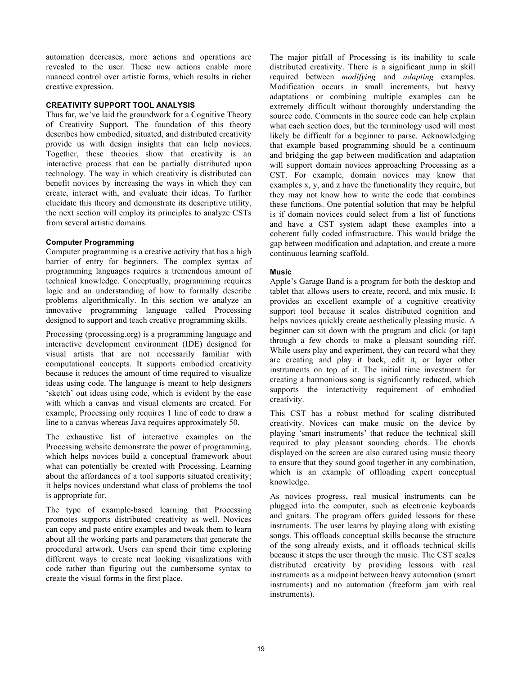automation decreases, more actions and operations are revealed to the user. These new actions enable more nuanced control over artistic forms, which results in richer creative expression.

#### **CREATIVITY SUPPORT TOOL ANALYSIS**

Thus far, we've laid the groundwork for a Cognitive Theory of Creativity Support. The foundation of this theory describes how embodied, situated, and distributed creativity provide us with design insights that can help novices. Together, these theories show that creativity is an interactive process that can be partially distributed upon technology. The way in which creativity is distributed can benefit novices by increasing the ways in which they can create, interact with, and evaluate their ideas. To further elucidate this theory and demonstrate its descriptive utility, the next section will employ its principles to analyze CSTs from several artistic domains.

#### **Computer Programming**

Computer programming is a creative activity that has a high barrier of entry for beginners. The complex syntax of programming languages requires a tremendous amount of technical knowledge. Conceptually, programming requires logic and an understanding of how to formally describe problems algorithmically. In this section we analyze an innovative programming language called Processing designed to support and teach creative programming skills.

Processing (processing.org) is a programming language and interactive development environment (IDE) designed for visual artists that are not necessarily familiar with computational concepts. It supports embodied creativity because it reduces the amount of time required to visualize ideas using code. The language is meant to help designers 'sketch' out ideas using code, which is evident by the ease with which a canvas and visual elements are created. For example, Processing only requires 1 line of code to draw a line to a canvas whereas Java requires approximately 50.

The exhaustive list of interactive examples on the Processing website demonstrate the power of programming, which helps novices build a conceptual framework about what can potentially be created with Processing. Learning about the affordances of a tool supports situated creativity; it helps novices understand what class of problems the tool is appropriate for.

The type of example-based learning that Processing promotes supports distributed creativity as well. Novices can copy and paste entire examples and tweak them to learn about all the working parts and parameters that generate the procedural artwork. Users can spend their time exploring different ways to create neat looking visualizations with code rather than figuring out the cumbersome syntax to create the visual forms in the first place.

The major pitfall of Processing is its inability to scale distributed creativity. There is a significant jump in skill required between *modifying* and *adapting* examples. Modification occurs in small increments, but heavy adaptations or combining multiple examples can be extremely difficult without thoroughly understanding the source code. Comments in the source code can help explain what each section does, but the terminology used will most likely be difficult for a beginner to parse. Acknowledging that example based programming should be a continuum and bridging the gap between modification and adaptation will support domain novices approaching Processing as a CST. For example, domain novices may know that examples x, y, and z have the functionality they require, but they may not know how to write the code that combines these functions. One potential solution that may be helpful is if domain novices could select from a list of functions and have a CST system adapt these examples into a coherent fully coded infrastructure. This would bridge the gap between modification and adaptation, and create a more continuous learning scaffold.

# **Music**

Apple's Garage Band is a program for both the desktop and tablet that allows users to create, record, and mix music. It provides an excellent example of a cognitive creativity support tool because it scales distributed cognition and helps novices quickly create aesthetically pleasing music. A beginner can sit down with the program and click (or tap) through a few chords to make a pleasant sounding riff. While users play and experiment, they can record what they are creating and play it back, edit it, or layer other instruments on top of it. The initial time investment for creating a harmonious song is significantly reduced, which supports the interactivity requirement of embodied creativity.

This CST has a robust method for scaling distributed creativity. Novices can make music on the device by playing 'smart instruments' that reduce the technical skill required to play pleasant sounding chords. The chords displayed on the screen are also curated using music theory to ensure that they sound good together in any combination, which is an example of offloading expert conceptual knowledge.

As novices progress, real musical instruments can be plugged into the computer, such as electronic keyboards and guitars. The program offers guided lessons for these instruments. The user learns by playing along with existing songs. This offloads conceptual skills because the structure of the song already exists, and it offloads technical skills because it steps the user through the music. The CST scales distributed creativity by providing lessons with real instruments as a midpoint between heavy automation (smart instruments) and no automation (freeform jam with real instruments).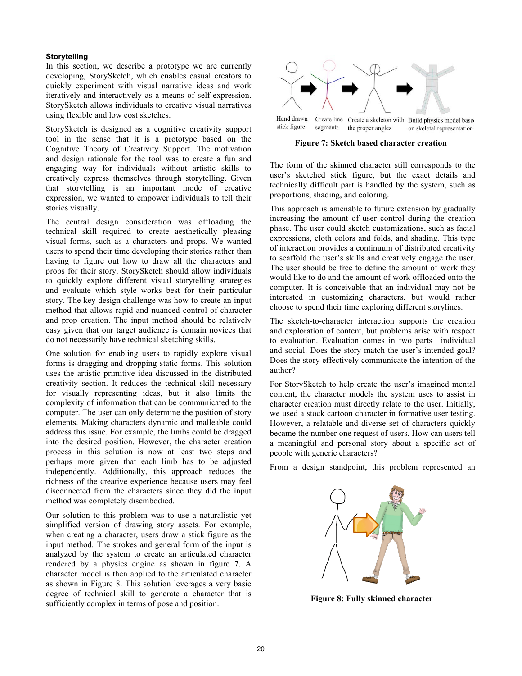#### **Storytelling**

In this section, we describe a prototype we are currently developing, StorySketch, which enables casual creators to quickly experiment with visual narrative ideas and work iteratively and interactively as a means of self-expression. StorySketch allows individuals to creative visual narratives using flexible and low cost sketches.

StorySketch is designed as a cognitive creativity support tool in the sense that it is a prototype based on the Cognitive Theory of Creativity Support. The motivation and design rationale for the tool was to create a fun and engaging way for individuals without artistic skills to creatively express themselves through storytelling. Given that storytelling is an important mode of creative expression, we wanted to empower individuals to tell their stories visually.

The central design consideration was offloading the technical skill required to create aesthetically pleasing visual forms, such as a characters and props. We wanted users to spend their time developing their stories rather than having to figure out how to draw all the characters and props for their story. StorySketch should allow individuals to quickly explore different visual storytelling strategies and evaluate which style works best for their particular story. The key design challenge was how to create an input method that allows rapid and nuanced control of character and prop creation. The input method should be relatively easy given that our target audience is domain novices that do not necessarily have technical sketching skills.

One solution for enabling users to rapidly explore visual forms is dragging and dropping static forms. This solution uses the artistic primitive idea discussed in the distributed creativity section. It reduces the technical skill necessary for visually representing ideas, but it also limits the complexity of information that can be communicated to the computer. The user can only determine the position of story elements. Making characters dynamic and malleable could address this issue. For example, the limbs could be dragged into the desired position. However, the character creation process in this solution is now at least two steps and perhaps more given that each limb has to be adjusted independently. Additionally, this approach reduces the richness of the creative experience because users may feel disconnected from the characters since they did the input method was completely disembodied.

Our solution to this problem was to use a naturalistic yet simplified version of drawing story assets. For example, when creating a character, users draw a stick figure as the input method. The strokes and general form of the input is analyzed by the system to create an articulated character rendered by a physics engine as shown in figure 7. A character model is then applied to the articulated character as shown in Figure 8. This solution leverages a very basic degree of technical skill to generate a character that is sufficiently complex in terms of pose and position.



Hand drawn Create line Create a skeleton with Build physics model based stick figure segments the proper angles on skeletal representation

**Figure 7: Sketch based character creation**

The form of the skinned character still corresponds to the user's sketched stick figure, but the exact details and technically difficult part is handled by the system, such as proportions, shading, and coloring.

This approach is amenable to future extension by gradually increasing the amount of user control during the creation phase. The user could sketch customizations, such as facial expressions, cloth colors and folds, and shading. This type of interaction provides a continuum of distributed creativity to scaffold the user's skills and creatively engage the user. The user should be free to define the amount of work they would like to do and the amount of work offloaded onto the computer. It is conceivable that an individual may not be interested in customizing characters, but would rather choose to spend their time exploring different storylines.

The sketch-to-character interaction supports the creation and exploration of content, but problems arise with respect to evaluation. Evaluation comes in two parts—individual and social. Does the story match the user's intended goal? Does the story effectively communicate the intention of the author?

For StorySketch to help create the user's imagined mental content, the character models the system uses to assist in character creation must directly relate to the user. Initially, we used a stock cartoon character in formative user testing. However, a relatable and diverse set of characters quickly became the number one request of users. How can users tell a meaningful and personal story about a specific set of people with generic characters?

From a design standpoint, this problem represented an



**Figure 8: Fully skinned character**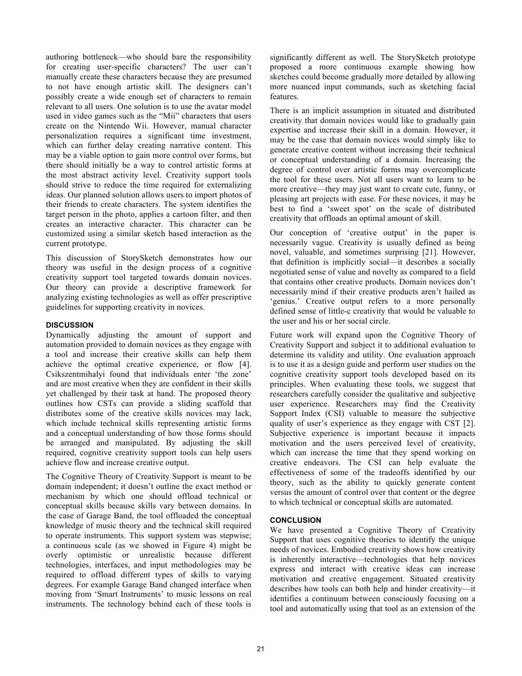authoring bottleneck—who should bare the responsibility for creating user-specific characters? The user can't manually create these characters because they are presumed to not have enough artistic skill. The designers can't possibly create a wide enough set of characters to remain relevant to all users. One solution is to use the avatar model used in video games such as the "Mii" characters that users create on the Nintendo Wii. However, manual character personalization requires a significant time investment, which can further delay creating narrative content. This may be a viable option to gain more control over forms, but there should initially be a way to control artistic forms at the most abstract activity level. Creativity support tools should strive to reduce the time required for externalizing ideas. Our planned solution allows users to import photos of their friends to create characters. The system identifies the target person in the photo, applies a cartoon filter, and then creates an interactive character. This character can be customized using a similar sketch based interaction as the current prototype.

This discussion of StorySketch demonstrates how our theory was useful in the design process of a cognitive creativity support tool targeted towards domain novices. Our theory can provide a descriptive framework for analyzing existing technologies as well as offer prescriptive guidelines for supporting creativity in novices.

# **DISCUSSION**

Dynamically adjusting the amount of support and automation provided to domain novices as they engage with a tool and increase their creative skills can help them achieve the optimal creative experience, or flow [4]. Csikszentmihalyi found that individuals enter 'the zone' and are most creative when they are confident in their skills yet challenged by their task at hand. The proposed theory outlines how CSTs can provide a sliding scaffold that distributes some of the creative skills novices may lack, which include technical skills representing artistic forms and a conceptual understanding of how those forms should be arranged and manipulated. By adjusting the skill required, cognitive creativity support tools can help users achieve flow and increase creative output.

The Cognitive Theory of Creativity Support is meant to be domain independent; it doesn't outline the exact method or mechanism by which one should offload technical or conceptual skills because skills vary between domains. In the case of Garage Band, the tool offloaded the conceptual knowledge of music theory and the technical skill required to operate instruments. This support system was stepwise; a continuous scale (as we showed in Figure 4) might be overly optimistic or unrealistic because different technologies, interfaces, and input methodologies may be required to offload different types of skills to varying degrees. For example Garage Band changed interface when moving from 'Smart Instruments' to music lessons on real instruments. The technology behind each of these tools is

significantly different as well. The StorySketch prototype proposed a more continuous example showing how sketches could become gradually more detailed by allowing more nuanced input commands, such as sketching facial features.

There is an implicit assumption in situated and distributed creativity that domain novices would like to gradually gain expertise and increase their skill in a domain. However, it may be the case that domain novices would simply like to generate creative content without increasing their technical or conceptual understanding of a domain. Increasing the degree of control over artistic forms may overcomplicate the tool for these users. Not all users want to learn to be more creative—they may just want to create cute, funny, or pleasing art projects with ease. For these novices, it may be best to find a 'sweet spot' on the scale of distributed creativity that offloads an optimal amount of skill.

Our conception of 'creative output' in the paper is necessarily vague. Creativity is usually defined as being novel, valuable, and sometimes surprising [21]. However, that definition is implicitly social—it describes a socially negotiated sense of value and novelty as compared to a field that contains other creative products. Domain novices don't necessarily mind if their creative products aren't hailed as 'genius.' Creative output refers to a more personally defined sense of little-c creativity that would be valuable to the user and his or her social circle.

Future work will expand upon the Cognitive Theory of Creativity Support and subject it to additional evaluation to determine its validity and utility. One evaluation approach is to use it as a design guide and perform user studies on the cognitive creativity support tools developed based on its principles. When evaluating these tools, we suggest that researchers carefully consider the qualitative and subjective user experience. Researchers may find the Creativity Support Index (CSI) valuable to measure the subjective quality of user's experience as they engage with CST [2]. Subjective experience is important because it impacts motivation and the users perceived level of creativity, which can increase the time that they spend working on creative endeavors. The CSI can help evaluate the effectiveness of some of the tradeoffs identified by our theory, such as the ability to quickly generate content versus the amount of control over that content or the degree to which technical or conceptual skills are automated.

#### **CONCLUSION**

We have presented a Cognitive Theory of Creativity Support that uses cognitive theories to identify the unique needs of novices. Embodied creativity shows how creativity is inherently interactive—technologies that help novices express and interact with creative ideas can increase motivation and creative engagement. Situated creativity describes how tools can both help and hinder creativity—it identifies a continuum between consciously focusing on a tool and automatically using that tool as an extension of the